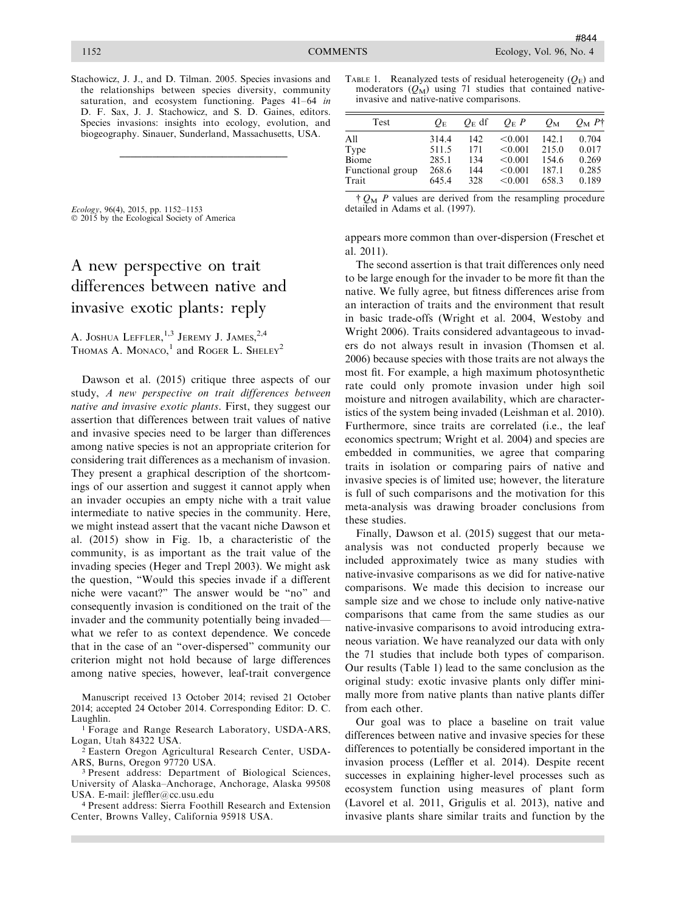Stachowicz, J. J., and D. Tilman. 2005. Species invasions and the relationships between species diversity, community saturation, and ecosystem functioning. Pages 41–64 in D. F. Sax, J. J. Stachowicz, and S. D. Gaines, editors. Species invasions: insights into ecology, evolution, and biogeography. Sinauer, Sunderland, Massachusetts, USA.

\_\_\_\_\_\_\_\_\_\_\_\_\_\_\_\_\_\_\_\_\_\_\_\_\_\_\_\_\_\_\_

Ecology, 96(4), 2015, pp. 1152–1153  $©$  2015 by the Ecological Society of America

## A new perspective on trait differences between native and invasive exotic plants: reply

A. JOSHUA LEFFLER,<sup>1,3</sup> JEREMY J. JAMES,<sup>2,4</sup> THOMAS A. MONACO,<sup>1</sup> and ROGER L. SHELEY<sup>2</sup>

Dawson et al. (2015) critique three aspects of our study, A new perspective on trait differences between native and invasive exotic plants. First, they suggest our assertion that differences between trait values of native and invasive species need to be larger than differences among native species is not an appropriate criterion for considering trait differences as a mechanism of invasion. They present a graphical description of the shortcomings of our assertion and suggest it cannot apply when an invader occupies an empty niche with a trait value intermediate to native species in the community. Here, we might instead assert that the vacant niche Dawson et al. (2015) show in Fig. 1b, a characteristic of the community, is as important as the trait value of the invading species (Heger and Trepl 2003). We might ask the question, ''Would this species invade if a different niche were vacant?'' The answer would be ''no'' and consequently invasion is conditioned on the trait of the invader and the community potentially being invaded what we refer to as context dependence. We concede that in the case of an ''over-dispersed'' community our criterion might not hold because of large differences among native species, however, leaf-trait convergence

Manuscript received 13 October 2014; revised 21 October 2014; accepted 24 October 2014. Corresponding Editor: D. C. Laughlin.

1 Forage and Range Research Laboratory, USDA-ARS, Logan, Utah 84322 USA.

<sup>2</sup> Eastern Oregon Agricultural Research Center, USDA-ARS, Burns, Oregon 97720 USA.

<sup>3</sup> Present address: Department of Biological Sciences, University of Alaska–Anchorage, Anchorage, Alaska 99508 USA. E-mail: jleffler@cc.usu.edu

<sup>4</sup> Present address: Sierra Foothill Research and Extension Center, Browns Valley, California 95918 USA.

TABLE 1. Reanalyzed tests of residual heterogeneity  $(Q<sub>E</sub>)$  and moderators  $(Q_M)$  using 71 studies that contained nativeinvasive and native-native comparisons.

| Test                                              | $O_{\rm E}$                               | $O_F$ df                        | $Q_{\rm E} P$                                       | $Q_{\rm M}$                               | $Q_M P^+$                                 |
|---------------------------------------------------|-------------------------------------------|---------------------------------|-----------------------------------------------------|-------------------------------------------|-------------------------------------------|
| All<br>Type<br>Biome<br>Functional group<br>Trait | 314.4<br>511.5<br>285.1<br>268.6<br>645.4 | 142<br>171<br>134<br>144<br>328 | < 0.001<br>< 0.001<br>< 0.001<br>< 0.001<br>< 0.001 | 142.1<br>215.0<br>154.6<br>187.1<br>658.3 | 0.704<br>0.017<br>0.269<br>0.285<br>0.189 |
|                                                   |                                           |                                 |                                                     |                                           |                                           |

 $\dagger Q_M$  P values are derived from the resampling procedure detailed in Adams et al. (1997).

appears more common than over-dispersion (Freschet et al. 2011).

The second assertion is that trait differences only need to be large enough for the invader to be more fit than the native. We fully agree, but fitness differences arise from an interaction of traits and the environment that result in basic trade-offs (Wright et al. 2004, Westoby and Wright 2006). Traits considered advantageous to invaders do not always result in invasion (Thomsen et al. 2006) because species with those traits are not always the most fit. For example, a high maximum photosynthetic rate could only promote invasion under high soil moisture and nitrogen availability, which are characteristics of the system being invaded (Leishman et al. 2010). Furthermore, since traits are correlated (i.e., the leaf economics spectrum; Wright et al. 2004) and species are embedded in communities, we agree that comparing traits in isolation or comparing pairs of native and invasive species is of limited use; however, the literature is full of such comparisons and the motivation for this meta-analysis was drawing broader conclusions from these studies.

Finally, Dawson et al. (2015) suggest that our metaanalysis was not conducted properly because we included approximately twice as many studies with native-invasive comparisons as we did for native-native comparisons. We made this decision to increase our sample size and we chose to include only native-native comparisons that came from the same studies as our native-invasive comparisons to avoid introducing extraneous variation. We have reanalyzed our data with only the 71 studies that include both types of comparison. Our results (Table 1) lead to the same conclusion as the original study: exotic invasive plants only differ minimally more from native plants than native plants differ from each other.

Our goal was to place a baseline on trait value differences between native and invasive species for these differences to potentially be considered important in the invasion process (Leffler et al. 2014). Despite recent successes in explaining higher-level processes such as ecosystem function using measures of plant form (Lavorel et al. 2011, Grigulis et al. 2013), native and invasive plants share similar traits and function by the